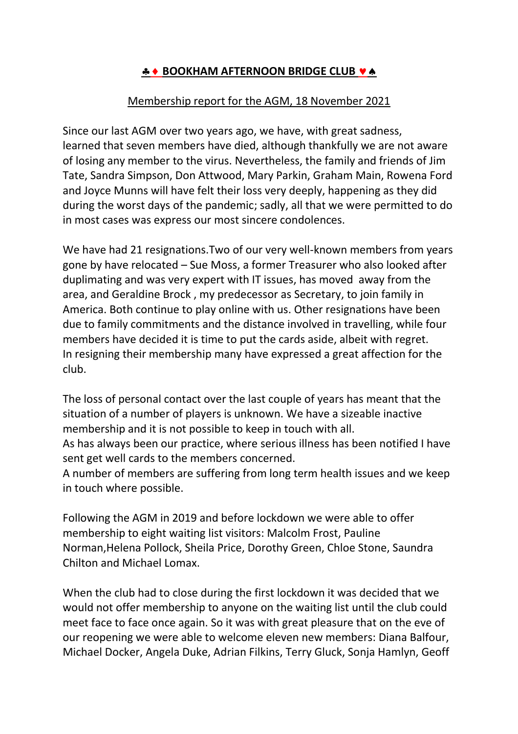## **BOOKHAM AFTERNOON BRIDGE CLUB VA**

## Membership report for the AGM, 18 November 2021

Since our last AGM over two years ago, we have, with great sadness, learned that seven members have died, although thankfully we are not aware of losing any member to the virus. Nevertheless, the family and friends of Jim Tate, Sandra Simpson, Don Attwood, Mary Parkin, Graham Main, Rowena Ford and Joyce Munns will have felt their loss very deeply, happening as they did during the worst days of the pandemic; sadly, all that we were permitted to do in most cases was express our most sincere condolences.

We have had 21 resignations.Two of our very well-known members from years gone by have relocated – Sue Moss, a former Treasurer who also looked after duplimating and was very expert with IT issues, has moved away from the area, and Geraldine Brock , my predecessor as Secretary, to join family in America. Both continue to play online with us. Other resignations have been due to family commitments and the distance involved in travelling, while four members have decided it is time to put the cards aside, albeit with regret. In resigning their membership many have expressed a great affection for the club.

The loss of personal contact over the last couple of years has meant that the situation of a number of players is unknown. We have a sizeable inactive membership and it is not possible to keep in touch with all. As has always been our practice, where serious illness has been notified I have

sent get well cards to the members concerned.

A number of members are suffering from long term health issues and we keep in touch where possible.

Following the AGM in 2019 and before lockdown we were able to offer membership to eight waiting list visitors: Malcolm Frost, Pauline Norman,Helena Pollock, Sheila Price, Dorothy Green, Chloe Stone, Saundra Chilton and Michael Lomax.

When the club had to close during the first lockdown it was decided that we would not offer membership to anyone on the waiting list until the club could meet face to face once again. So it was with great pleasure that on the eve of our reopening we were able to welcome eleven new members: Diana Balfour, Michael Docker, Angela Duke, Adrian Filkins, Terry Gluck, Sonja Hamlyn, Geoff